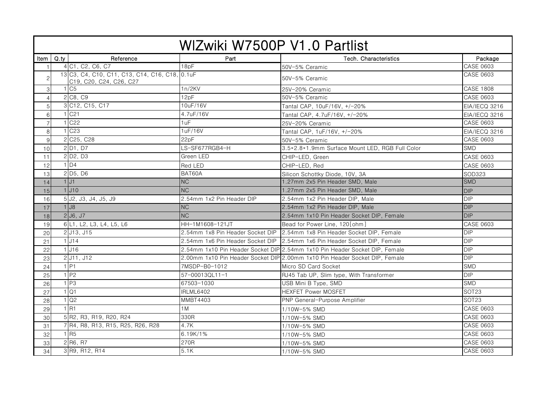| WIZwiki W7500P V1.0 Partlist |      |                                                                           |                                  |                                                                             |                  |  |  |  |
|------------------------------|------|---------------------------------------------------------------------------|----------------------------------|-----------------------------------------------------------------------------|------------------|--|--|--|
| Item                         | Q.py | Reference                                                                 | Part                             | Tech. Characteristics                                                       | Package          |  |  |  |
| $\overline{1}$               |      | 4 C1, C2, C6, C7                                                          | 18pF                             | 50V-5% Ceramic                                                              | CASE 0603        |  |  |  |
| $\overline{c}$               |      | 13 C3, C4, C10, C11, C13, C14, C16, C18, 0.1uF<br>C19, C20, C24, C26, C27 |                                  | 50V-5% Ceramic                                                              | <b>CASE 0603</b> |  |  |  |
| 3                            |      | C <sub>5</sub>                                                            | 1n/2KV                           | 25V-20% Ceramic                                                             | <b>CASE 1808</b> |  |  |  |
| $\overline{4}$               |      | 2 C8, C9                                                                  | 12pF                             | 50V-5% Ceramic                                                              | <b>CASE 0603</b> |  |  |  |
| 5                            |      | 3 C12, C15, C17                                                           | 10uF/16V                         | Tantal CAP, 10uF/16V, +/-20%                                                | EIA/IECQ 3216    |  |  |  |
| $\,6$                        |      | C <sub>21</sub>                                                           | 4.7uF/16V                        | Tantal CAP, 4.7uF/16V, +/-20%                                               | EIA/IECQ 3216    |  |  |  |
| $\overline{7}$               |      | C <sub>22</sub>                                                           | 1uF                              | 25V-20% Ceramic                                                             | <b>CASE 0603</b> |  |  |  |
| 8                            |      | C <sub>23</sub>                                                           | 1uF/16V                          | Tantal CAP, 1uF/16V, +/-20%                                                 | EIA/IECQ 3216    |  |  |  |
| $9\,$                        |      | 2 C <sub>25</sub> , C <sub>28</sub>                                       | 22pF                             | 50V-5% Ceramic                                                              | <b>CASE 0603</b> |  |  |  |
| 10                           |      | 2 D1, D7                                                                  | LS-SF677RGB4-H                   | 3.5*2.8*1.9mm Surface Mount LED, RGB Full Color                             | <b>SMD</b>       |  |  |  |
| 11                           |      | $2$ D <sub>2</sub> , D <sub>3</sub>                                       | Green LED                        | CHIP-LED, Green                                                             | <b>CASE 0603</b> |  |  |  |
| 12                           |      | $1\overline{D4}$                                                          | Red LED                          | CHIP-LED, Red                                                               | <b>CASE 0603</b> |  |  |  |
| 13                           |      | 2 D <sub>5</sub> , D <sub>6</sub>                                         | BAT60A                           | Silicon Schottky Diode, 10V, 3A                                             | SOD323           |  |  |  |
| 14                           |      | $1$ J1                                                                    | <b>NC</b>                        | 1.27mm 2x5 Pin Header SMD, Male                                             | <b>SMD</b>       |  |  |  |
| 15                           |      | $1$ $J10$                                                                 | NC                               | 1.27mm 2x5 Pin Header SMD, Male                                             | <b>DIP</b>       |  |  |  |
| 16                           |      | 5 J2, J3, J4, J5, J9                                                      | 2.54mm 1x2 Pin Header DIP        | 2.54mm 1x2 Pin Header DIP, Male                                             | <b>DIP</b>       |  |  |  |
| 17                           |      | $1$ $J8$                                                                  | <b>NC</b>                        | 2.54mm 1x2 Pin Header DIP, Male                                             | DIP              |  |  |  |
| 18                           |      | 2J6, J7                                                                   | NC                               | 2.54mm 1x10 Pin Header Socket DIP, Female                                   | <b>DIP</b>       |  |  |  |
| 19                           |      | 6 L1, L2, L3, L4, L5, L6                                                  | HH-1M1608-121JT                  | Bead for Power Line, 120[ohm]                                               | <b>CASE 0603</b> |  |  |  |
| 20                           |      | 2 J13, J15                                                                | 2.54mm 1x8 Pin Header Socket DIP | 2.54mm 1x8 Pin Header Socket DIP, Female                                    | <b>DIP</b>       |  |  |  |
| 21                           |      | $1$ J14                                                                   | 2.54mm 1x6 Pin Header Socket DIP | 2.54mm 1x6 Pin Header Socket DIP, Female                                    | <b>DIP</b>       |  |  |  |
| 22                           |      | $1$ J <sub>16</sub>                                                       |                                  | 2.54mm 1x10 Pin Header Socket DIP 2.54mm 1x10 Pin Header Socket DIP, Female | <b>DIP</b>       |  |  |  |
| 23                           |      | 2 J11, J12                                                                |                                  | 2.00mm 1x10 Pin Header Socket DIP 2.00mm 1x10 Pin Header Socket DIP, Female | <b>DIP</b>       |  |  |  |
| 24                           |      | $1$ P <sub>1</sub>                                                        | 7MSDP-B0-1012                    | Micro SD Card Socket                                                        | <b>SMD</b>       |  |  |  |
| 25                           |      | $1$ P <sub>2</sub>                                                        | 57-00013QL11-1                   | RJ45 Tab UP, Slim type, With Transformer                                    | $\overline{DP}$  |  |  |  |
| 26                           |      | 1P3                                                                       | 67503-1030                       | USB Mini B Type, SMD                                                        | SMD              |  |  |  |
| 27                           |      | $1$ Q1                                                                    | IRLML6402                        | <b>HEXFET Power MOSFET</b>                                                  | <b>SOT23</b>     |  |  |  |
| 28                           |      | Q <sub>2</sub>                                                            | MMBT4403                         | PNP General-Purpose Amplifier                                               | <b>SOT23</b>     |  |  |  |
| 29                           |      | 1R1                                                                       | 1 M                              | 1/10W-5% SMD                                                                | <b>CASE 0603</b> |  |  |  |
| 30                           |      | 5 R2, R3, R19, R20, R24                                                   | 330R                             | 1/10W-5% SMD                                                                | <b>CASE 0603</b> |  |  |  |
| 31                           |      | 7 R4, R8, R13, R15, R25, R26, R28                                         | 4.7K                             | 1/10W-5% SMD                                                                | <b>CASE 0603</b> |  |  |  |
| 32                           |      | $1$ <sub>R5</sub>                                                         | 6.19K/1%                         | 1/10W-5% SMD                                                                | <b>CASE 0603</b> |  |  |  |
| 33                           |      | 2 R6, R7                                                                  | 270R                             | 1/10W-5% SMD                                                                | CASE 0603        |  |  |  |
| 34                           |      | 3 R9, R12, R14                                                            | 5.1K                             | 1/10W-5% SMD                                                                | CASE 0603        |  |  |  |